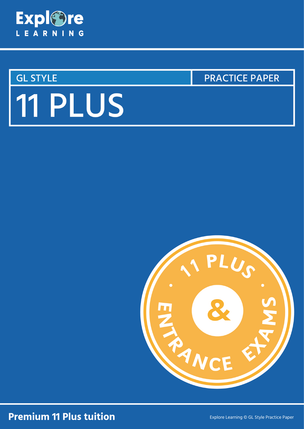

# **GL STYLE** 11 PLUS

# **PRACTICE PAPER**



# **Premium 11 Plus tuition**

Explore Learning © GL Style Practice Paper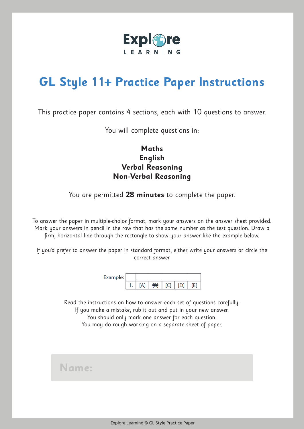

# **GL Style 11+ Practice Paper Instructions**

This practice paper contains 4 sections, each with 10 questions to answer.

You will complete questions in:

#### **Maths English Verbal Reasoning Non-Verbal Reasoning**

#### You are permitted **28 minutes** to complete the paper.

To answer the paper in multiple-choice format, mark your answers on the answer sheet provided. Mark your answers in pencil in the row that has the same number as the test question. Draw a firm, horizontal line through the rectangle to show your answer like the example below.

If you'd prefer to answer the paper in standard format, either write your answers or circle the correct answer

Example:  $[C]$   $[D]$  $[A]$ Юì  $[E]$ 

Read the instructions on how to answer each set of questions carefully. If you make a mistake, rub it out and put in your new answer. You should only mark one answer for each question. You may do rough working on a separate sheet of paper.

**Name:**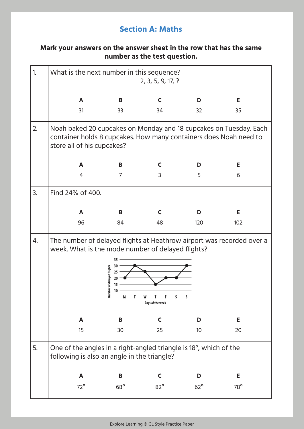## **Section A: Maths**

| Mark your answers on the answer sheet in the row that has the same |  |  |  |  |  |  |
|--------------------------------------------------------------------|--|--|--|--|--|--|
| number as the test question.                                       |  |  |  |  |  |  |

| $\overline{1}$ . | What is the next number in this sequence?<br>2, 3, 5, 9, 17, ?                                                                                                               |            |                       |              |            |  |  |  |  |
|------------------|------------------------------------------------------------------------------------------------------------------------------------------------------------------------------|------------|-----------------------|--------------|------------|--|--|--|--|
|                  | A                                                                                                                                                                            | B.         | C                     | D            | Е          |  |  |  |  |
|                  | 31                                                                                                                                                                           | 33         | 34                    | 32           | 35         |  |  |  |  |
| 2.               | Noah baked 20 cupcakes on Monday and 18 cupcakes on Tuesday. Each<br>container holds 8 cupcakes. How many containers does Noah need to<br>store all of his cupcakes?         |            |                       |              |            |  |  |  |  |
|                  | A                                                                                                                                                                            | B          | C                     | D            | E.         |  |  |  |  |
|                  | 4                                                                                                                                                                            | 7          | 3                     | 5            | 6          |  |  |  |  |
| 3.               | Find 24% of 400.                                                                                                                                                             |            |                       |              |            |  |  |  |  |
|                  | A                                                                                                                                                                            | B          | C                     | D            | E          |  |  |  |  |
|                  | 96                                                                                                                                                                           | 84         | 48                    | 120          | 102        |  |  |  |  |
| 4.               | The number of delayed flights at Heathrow airport was recorded over a<br>week. What is the mode number of delayed flights?<br>35<br>30<br>ber of delayed flights<br>25<br>20 |            |                       |              |            |  |  |  |  |
|                  |                                                                                                                                                                              | Num<br>M   | S<br>Days of the week | S            |            |  |  |  |  |
|                  | A                                                                                                                                                                            | B          | C                     | D            | E          |  |  |  |  |
|                  | 15                                                                                                                                                                           | 30         | 25                    | 10           | 20         |  |  |  |  |
| 5.               | One of the angles in a right-angled triangle is 18°, which of the<br>following is also an angle in the triangle?                                                             |            |                       |              |            |  |  |  |  |
|                  | A                                                                                                                                                                            | В          | C                     | D            | Е          |  |  |  |  |
|                  | $72^{\circ}$                                                                                                                                                                 | $68^\circ$ | $82^{\circ}$          | $62^{\circ}$ | $78^\circ$ |  |  |  |  |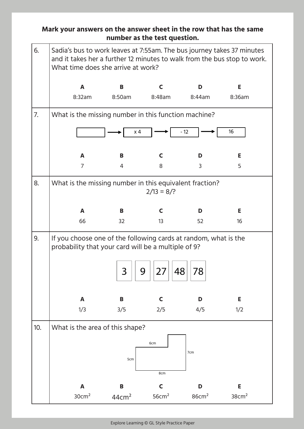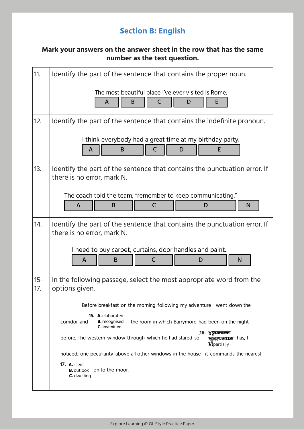## **Section B: English**

#### **Mark your answers on the answer sheet in the row that has the same number as the test question.**

| 11.           | Identify the part of the sentence that contains the proper noun.                                                                                 |  |  |  |  |  |
|---------------|--------------------------------------------------------------------------------------------------------------------------------------------------|--|--|--|--|--|
|               | The most beautiful place I've ever visited is Rome.<br>B<br>C<br>E<br>A<br>D                                                                     |  |  |  |  |  |
| 12.           | Identify the part of the sentence that contains the indefinite pronoun.                                                                          |  |  |  |  |  |
|               | I think everybody had a great time at my birthday party.<br>B<br>C<br>D<br>E<br>A                                                                |  |  |  |  |  |
| 13.           | Identify the part of the sentence that contains the punctuation error. If<br>there is no error, mark N.                                          |  |  |  |  |  |
|               | The coach told the team, "remember to keep communicating."<br>B<br>$\mathsf{C}$<br>D<br>A<br>N                                                   |  |  |  |  |  |
| 14.           | Identify the part of the sentence that contains the punctuation error. If<br>there is no error, mark N.                                          |  |  |  |  |  |
|               | I need to buy carpet, curtains, door handles and paint.<br>C<br>B<br>D<br>Ν<br>A                                                                 |  |  |  |  |  |
| $15 -$<br>17. | In the following passage, select the most appropriate word from the<br>options given.                                                            |  |  |  |  |  |
|               | Before breakfast on the morning following my adventure I went down the                                                                           |  |  |  |  |  |
|               | 15. A. elaborated<br>corridor and<br>the room in which Barrymore had been on the night<br><b>B.</b> recognised<br><b>C.</b> examined             |  |  |  |  |  |
|               | 16. ৮ इध्याख्यक्ता<br>before. The western window through which he had stared so<br>has, I<br><b>स्टब्स्थल्टल म्हेट्टर्</b><br><b>孓spartially</b> |  |  |  |  |  |
|               | noticed, one peculiarity above all other windows in the house-it commands the nearest                                                            |  |  |  |  |  |
|               | <b>17. A.</b> scent<br><b>B.</b> outlook on to the moor.<br><b>C.</b> dwelling                                                                   |  |  |  |  |  |
|               |                                                                                                                                                  |  |  |  |  |  |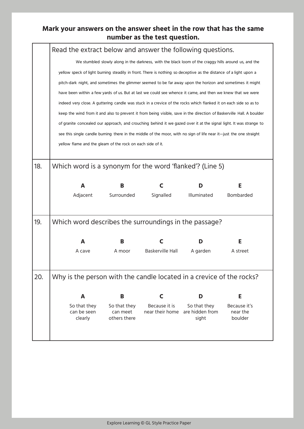#### **Mark your answers on the answer sheet in the row that has the same number as the test question.**

|     | Read the extract below and answer the following questions.                                                            |                          |                                  |                                 |                          |  |  |  |  |  |
|-----|-----------------------------------------------------------------------------------------------------------------------|--------------------------|----------------------------------|---------------------------------|--------------------------|--|--|--|--|--|
|     | We stumbled slowly along in the darkness, with the black loom of the craggy hills around us, and the                  |                          |                                  |                                 |                          |  |  |  |  |  |
|     | yellow speck of light burning steadily in front. There is nothing so deceptive as the distance of a light upon a      |                          |                                  |                                 |                          |  |  |  |  |  |
|     | pitch-dark night, and sometimes the glimmer seemed to be far away upon the horizon and sometimes it might             |                          |                                  |                                 |                          |  |  |  |  |  |
|     | have been within a few yards of us. But at last we could see whence it came, and then we knew that we were            |                          |                                  |                                 |                          |  |  |  |  |  |
|     | indeed very close. A guttering candle was stuck in a crevice of the rocks which flanked it on each side so as to      |                          |                                  |                                 |                          |  |  |  |  |  |
|     | keep the wind from it and also to prevent it from being visible, save in the direction of Baskerville Hall. A boulder |                          |                                  |                                 |                          |  |  |  |  |  |
|     | of granite concealed our approach, and crouching behind it we gazed over it at the signal light. It was strange to    |                          |                                  |                                 |                          |  |  |  |  |  |
|     | see this single candle burning there in the middle of the moor, with no sign of life near it—just the one straight    |                          |                                  |                                 |                          |  |  |  |  |  |
|     | yellow flame and the gleam of the rock on each side of it.                                                            |                          |                                  |                                 |                          |  |  |  |  |  |
|     |                                                                                                                       |                          |                                  |                                 |                          |  |  |  |  |  |
| 18. | Which word is a synonym for the word 'flanked'? (Line 5)                                                              |                          |                                  |                                 |                          |  |  |  |  |  |
|     |                                                                                                                       |                          |                                  |                                 |                          |  |  |  |  |  |
|     | A                                                                                                                     | в                        | C                                | D                               | Е                        |  |  |  |  |  |
|     | Adjacent                                                                                                              | Surrounded               | Signalled                        | Illuminated                     | Bombarded                |  |  |  |  |  |
|     |                                                                                                                       |                          |                                  |                                 |                          |  |  |  |  |  |
| 19. | Which word describes the surroundings in the passage?                                                                 |                          |                                  |                                 |                          |  |  |  |  |  |
|     |                                                                                                                       |                          |                                  |                                 |                          |  |  |  |  |  |
|     | A                                                                                                                     | в                        | C                                | D                               | Е                        |  |  |  |  |  |
|     | A cave                                                                                                                | A moor                   | Baskerville Hall                 | A garden                        | A street                 |  |  |  |  |  |
|     |                                                                                                                       |                          |                                  |                                 |                          |  |  |  |  |  |
|     |                                                                                                                       |                          |                                  |                                 |                          |  |  |  |  |  |
| 20. | Why is the person with the candle located in a crevice of the rocks?                                                  |                          |                                  |                                 |                          |  |  |  |  |  |
|     |                                                                                                                       |                          |                                  |                                 |                          |  |  |  |  |  |
|     | A                                                                                                                     | B                        | C                                | D                               | Е                        |  |  |  |  |  |
|     | So that they<br>can be seen                                                                                           | So that they<br>can meet | Because it is<br>near their home | So that they<br>are hidden from | Because it's<br>near the |  |  |  |  |  |
|     | clearly                                                                                                               | others there             |                                  | sight                           | boulder                  |  |  |  |  |  |
|     |                                                                                                                       |                          |                                  |                                 |                          |  |  |  |  |  |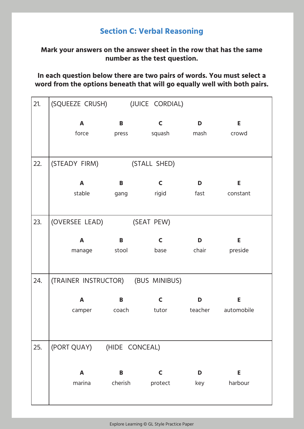#### **Section C: Verbal Reasoning**

#### **Mark your answers on the answer sheet in the row that has the same number as the test question.**

**In each question below there are two pairs of words. You must select a word from the options beneath that will go equally well with both pairs.**

| 21. | (SQUEEZE CRUSH) (JUICE CORDIAL)    |                   |                               |            |                    |
|-----|------------------------------------|-------------------|-------------------------------|------------|--------------------|
|     | A<br>force                         | B<br>press        | $\mathsf{C}$<br>squash        | D<br>mash  | E<br>crowd         |
| 22. | (STEADY FIRM)                      |                   | (STALL SHED)                  |            |                    |
|     | A<br>stable                        | B<br>gang         | $\mathsf{C}$<br>rigid         | D          | E<br>fast constant |
| 23. | (OVERSEE LEAD)                     |                   | (SEAT PEW)                    |            |                    |
|     | A<br>manage                        | B<br>stool        | $\mathsf{C}$<br>base          | D<br>chair | E<br>preside       |
| 24. | (TRAINER INSTRUCTOR) (BUS MINIBUS) |                   |                               |            |                    |
|     | A                                  | B<br>camper coach | $\mathsf{C}$<br>tutor teacher | D          | E<br>automobile    |
| 25. | (PORT QUAY) (HIDE CONCEAL)         |                   |                               |            |                    |
|     | A<br>marina                        | B<br>cherish      | C<br>protect                  | D<br>key   | E<br>harbour       |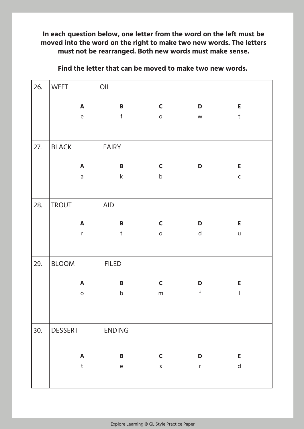**In each question below, one letter from the word on the left must be moved into the word on the right to make two new words. The letters must not be rearranged. Both new words must make sense.** 

| 26. | <b>WEFT</b>    |                           | $\hbox{OIL}$                      |              |              |              |  |
|-----|----------------|---------------------------|-----------------------------------|--------------|--------------|--------------|--|
|     |                | $\pmb{\mathsf{A}}$        | $\pmb{\mathsf{B}}$                | $\mathsf C$  | D            | E            |  |
|     |                | $\mathsf{e}$              | $\mathsf f$                       | $\circ$      | ${\sf W}$    | $\sf t$      |  |
|     |                |                           |                                   |              |              |              |  |
| 27. | <b>BLACK</b>   |                           | <b>FAIRY</b>                      |              |              |              |  |
|     |                | $\pmb{\mathsf{A}}$        | $\pmb{\mathsf{B}}$                | $\mathsf C$  | D            | E            |  |
|     |                | $\mathsf{a}$              | $\sf k$                           | $\sf b$      | $\mathsf{I}$ | $\mathsf C$  |  |
|     |                |                           |                                   |              |              |              |  |
| 28. | <b>TROUT</b>   |                           | AID                               |              |              |              |  |
|     |                | $\boldsymbol{\mathsf{A}}$ | $\pmb{\mathsf{B}}$                | $\mathsf{C}$ | D            | E            |  |
|     |                | $\mathsf{r}$              | $\sf t$                           | $\mathsf O$  | ${\sf d}$    | $\mathsf{u}$ |  |
|     |                |                           |                                   |              |              |              |  |
| 29. | <b>BLOOM</b>   |                           | <b>FILED</b>                      |              |              |              |  |
|     |                | $\boldsymbol{\mathsf{A}}$ | $\pmb{\mathsf{B}}$                | $\mathsf C$  | D            | E            |  |
|     |                | $\circ$                   | $\sf b$                           | ${\sf m}$    | $\mathsf f$  | I            |  |
|     |                |                           |                                   |              |              |              |  |
| 30. | <b>DESSERT</b> |                           | <b>ENDING</b>                     |              |              |              |  |
|     |                |                           |                                   |              |              |              |  |
|     |                | $\boldsymbol{\mathsf{A}}$ | $\pmb{\mathsf{B}}$                | $\mathsf{C}$ | D            | E            |  |
|     |                | $\sf t$                   | $\mathsf{e}% _{t}\left( t\right)$ | $\sf S$      | $\mathsf{r}$ | $\mathsf{d}$ |  |
|     |                |                           |                                   |              |              |              |  |

**Find the letter that can be moved to make two new words.**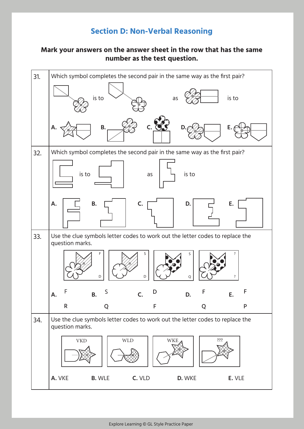#### **Section D: Non-Verbal Reasoning**

#### **Mark your answers on the answer sheet in the row that has the same number as the test question.**

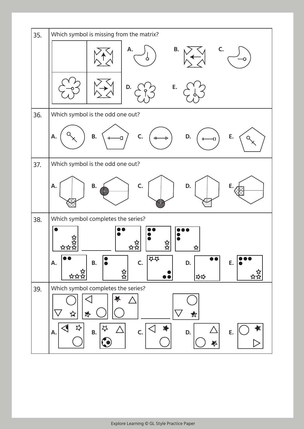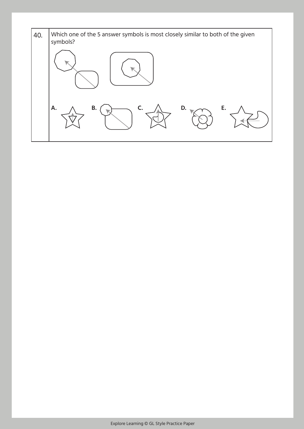